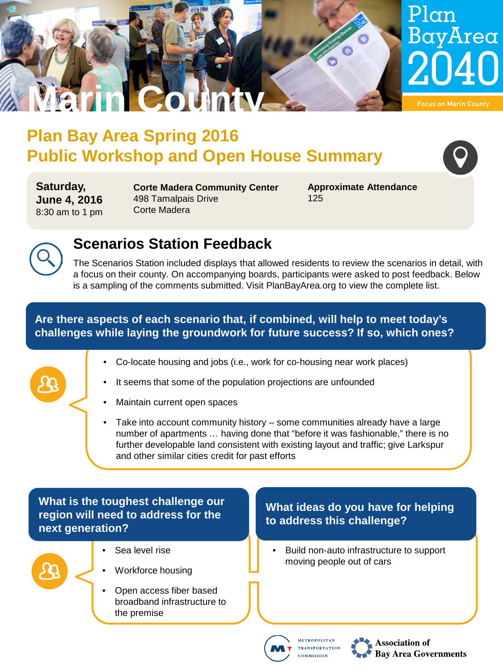

## **Plan Bay Area Spring 2016 Public Workshop and Open House Summary**

**Saturday, June 4, 2016** 8:30 am to 1 pm

**Corte Madera Community Center** 498 Tamalpais Drive Corte Madera

**Approximate Attendance** 125



## **Scenarios Station Feedback**

The Scenarios Station included displays that allowed residents to review the scenarios in detail, with a focus on their county. On accompanying boards, participants were asked to post feedback. Below is a sampling of the comments submitted. Visit PlanBayArea.org to view the complete list.

**Are there aspects of each scenario that, if combined, will help to meet today's challenges while laying the groundwork for future success? If so, which ones?**

- Co-locate housing and jobs (i.e., work for co-housing near work places)
- It seems that some of the population projections are unfounded
- Maintain current open spaces
- Take into account community history some communities already have a large number of apartments … having done that "before it was fashionable," there is no further developable land consistent with existing layout and traffic; give Larkspur and other similar cities credit for past efforts

**What is the toughest challenge our region will need to address for the next generation?**



- Sea level rise
- Workforce housing
- Open access fiber based broadband infrastructure to the premise

#### **What ideas do you have for helping to address this challenge?**

• Build non-auto infrastructure to support moving people out of cars





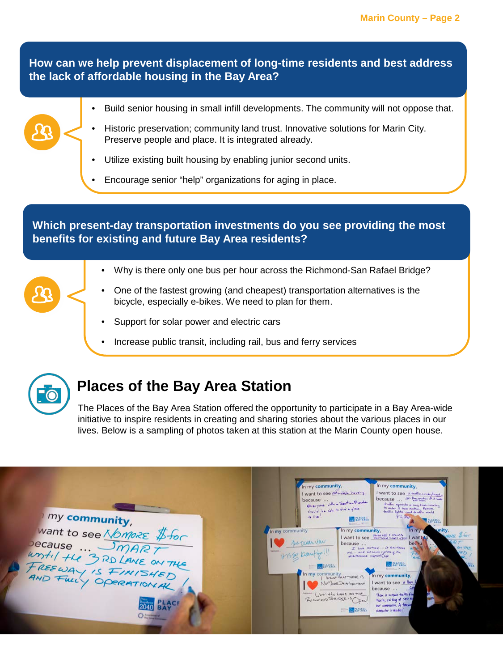**How can we help prevent displacement of long-time residents and best address the lack of affordable housing in the Bay Area?**

### • Build senior housing in small infill developments. The community will not oppose that. • Historic preservation; community land trust. Innovative solutions for Marin City. Preserve people and place. It is integrated already. Utilize existing built housing by enabling junior second units. • Encourage senior "help" organizations for aging in place.

**Which present-day transportation investments do you see providing the most benefits for existing and future Bay Area residents?**

- Why is there only one bus per hour across the Richmond-San Rafael Bridge?
- One of the fastest growing (and cheapest) transportation alternatives is the bicycle, especially e-bikes. We need to plan for them.
- Support for solar power and electric cars
- Increase public transit, including rail, bus and ferry services



## **Places of the Bay Area Station**

The Places of the Bay Area Station offered the opportunity to participate in a Bay Area-wide initiative to inspire residents in creating and sharing stories about the various places in our lives. Below is a sampling of photos taken at this station at the Marin County open house.

| my community,                                                                                | In my community,<br>In my community,<br>I want to see a which here<br>I want to see a hoffic circle/mout,<br>because  @ Projection & Symptom<br>because<br>Everyone with a Seation Prouder<br>traffic operate a long time crueling<br>to writer 2 line medium. Remove-<br>should be able to find a glass<br>trattic lights und-trattic would<br>$+$ then<br>FL00.<br><b>BAY AREA</b><br><b>PLACES-</b><br><b>OTHER COMPANY</b>                                                                                                                                                                 |
|----------------------------------------------------------------------------------------------|------------------------------------------------------------------------------------------------------------------------------------------------------------------------------------------------------------------------------------------------------------------------------------------------------------------------------------------------------------------------------------------------------------------------------------------------------------------------------------------------------------------------------------------------------------------------------------------------|
| Want to see Nomore \$for<br>ecause  SmART<br>White He 3RD LANE ON THE<br>FREEWAY IS FINISHED | In my community,<br>In my community<br>In my<br><i><b>unity</b></i><br>$ze$ $\#$ for<br>I want to see <b>Restricted</b> Court you I wanted<br>67.7<br>be Deem you<br>because<br>bec tu<br>I Love nature  it Restores<br>ONTHA<br><b>Sections</b><br>one  and because native of the<br>4350 baut<br>(FD<br><b>BACKAGE</b><br><b>PACES</b><br>OCT22.44<br>In my community<br>In my community,<br>want to see a Hwy<br>Nomber Development<br>because  C<br>Until the Lave on the<br>There is a much traffic flow<br>RICHAIGOD BRIDGE 15 DA<br>Marin, exiting at SED &<br>our commantly. A freeway |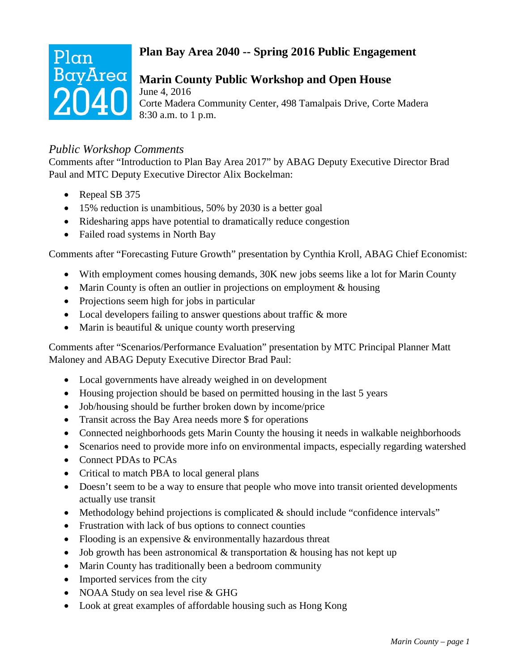# Plan BayArea

#### **Plan Bay Area 2040 -- Spring 2016 Public Engagement**

#### **Marin County Public Workshop and Open House**

June 4, 2016 Corte Madera Community Center, 498 Tamalpais Drive, Corte Madera 8:30 a.m. to 1 p.m.

#### *Public Workshop Comments*

Comments after "Introduction to Plan Bay Area 2017" by ABAG Deputy Executive Director Brad Paul and MTC Deputy Executive Director Alix Bockelman:

- Repeal SB 375
- 15% reduction is unambitious, 50% by 2030 is a better goal
- Ridesharing apps have potential to dramatically reduce congestion
- Failed road systems in North Bay

Comments after "Forecasting Future Growth" presentation by Cynthia Kroll, ABAG Chief Economist:

- With employment comes housing demands, 30K new jobs seems like a lot for Marin County
- Marin County is often an outlier in projections on employment & housing
- Projections seem high for jobs in particular
- Local developers failing to answer questions about traffic & more
- Marin is beautiful & unique county worth preserving

Comments after "Scenarios/Performance Evaluation" presentation by MTC Principal Planner Matt Maloney and ABAG Deputy Executive Director Brad Paul:

- Local governments have already weighed in on development
- Housing projection should be based on permitted housing in the last 5 years
- Job/housing should be further broken down by income/price
- Transit across the Bay Area needs more \$ for operations
- Connected neighborhoods gets Marin County the housing it needs in walkable neighborhoods
- Scenarios need to provide more info on environmental impacts, especially regarding watershed
- Connect PDAs to PCAs
- Critical to match PBA to local general plans
- Doesn't seem to be a way to ensure that people who move into transit oriented developments actually use transit
- Methodology behind projections is complicated & should include "confidence intervals"
- Frustration with lack of bus options to connect counties
- Flooding is an expensive & environmentally hazardous threat
- Job growth has been astronomical & transportation & housing has not kept up
- Marin County has traditionally been a bedroom community
- Imported services from the city
- NOAA Study on sea level rise & GHG
- Look at great examples of affordable housing such as Hong Kong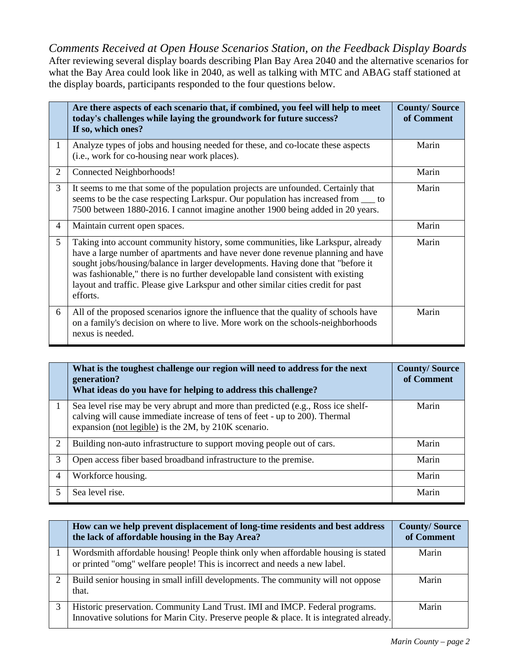*Comments Received at Open House Scenarios Station, on the Feedback Display Boards* After reviewing several display boards describing Plan Bay Area 2040 and the alternative scenarios for what the Bay Area could look like in 2040, as well as talking with MTC and ABAG staff stationed at the display boards, participants responded to the four questions below.

|                | Are there aspects of each scenario that, if combined, you feel will help to meet<br>today's challenges while laying the groundwork for future success?<br>If so, which ones?                                                                                                                                                                                                                                                              | <b>County/Source</b><br>of Comment |
|----------------|-------------------------------------------------------------------------------------------------------------------------------------------------------------------------------------------------------------------------------------------------------------------------------------------------------------------------------------------------------------------------------------------------------------------------------------------|------------------------------------|
| $\mathbf{1}$   | Analyze types of jobs and housing needed for these, and co-locate these aspects<br>(i.e., work for co-housing near work places).                                                                                                                                                                                                                                                                                                          | Marin                              |
| $\overline{2}$ | Connected Neighborhoods!                                                                                                                                                                                                                                                                                                                                                                                                                  | Marin                              |
| $\overline{3}$ | It seems to me that some of the population projects are unfounded. Certainly that<br>seems to be the case respecting Larkspur. Our population has increased from ____ to<br>7500 between 1880-2016. I cannot imagine another 1900 being added in 20 years.                                                                                                                                                                                | Marin                              |
| $\overline{4}$ | Maintain current open spaces.                                                                                                                                                                                                                                                                                                                                                                                                             | Marin                              |
| 5 <sup>5</sup> | Taking into account community history, some communities, like Larkspur, already<br>have a large number of apartments and have never done revenue planning and have<br>sought jobs/housing/balance in larger developments. Having done that "before it<br>was fashionable," there is no further developable land consistent with existing<br>layout and traffic. Please give Larkspur and other similar cities credit for past<br>efforts. | Marin                              |
| 6              | All of the proposed scenarios ignore the influence that the quality of schools have<br>on a family's decision on where to live. More work on the schools-neighborhoods<br>nexus is needed.                                                                                                                                                                                                                                                | Marin                              |

|                | What is the toughest challenge our region will need to address for the next<br>generation?<br>What ideas do you have for helping to address this challenge?                                                             | <b>County/Source</b><br>of Comment |
|----------------|-------------------------------------------------------------------------------------------------------------------------------------------------------------------------------------------------------------------------|------------------------------------|
|                | Sea level rise may be very abrupt and more than predicted (e.g., Ross ice shelf-<br>calving will cause immediate increase of tens of feet - up to 200). Thermal<br>expansion (not legible) is the 2M, by 210K scenario. | Marin                              |
| 2              | Building non-auto infrastructure to support moving people out of cars.                                                                                                                                                  | Marin                              |
| 3              | Open access fiber based broadband infrastructure to the premise.                                                                                                                                                        | Marin                              |
| $\overline{4}$ | Workforce housing.                                                                                                                                                                                                      | Marin                              |
| 5              | Sea level rise.                                                                                                                                                                                                         | Marin                              |

|               | How can we help prevent displacement of long-time residents and best address<br>the lack of affordable housing in the Bay Area?                                         | <b>County/Source</b><br>of Comment |
|---------------|-------------------------------------------------------------------------------------------------------------------------------------------------------------------------|------------------------------------|
|               | Wordsmith affordable housing! People think only when affordable housing is stated<br>or printed "omg" welfare people! This is incorrect and needs a new label.          | Marin                              |
| $\mathcal{D}$ | Build senior housing in small infill developments. The community will not oppose<br>that.                                                                               | Marin                              |
|               | Historic preservation. Community Land Trust. IMI and IMCP. Federal programs.<br>Innovative solutions for Marin City. Preserve people & place. It is integrated already. | Marin                              |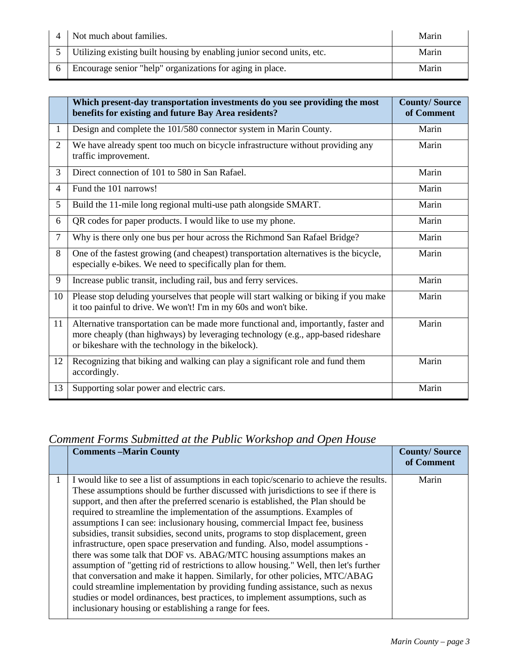| $\boldsymbol{\Lambda}$ | Not much about families.                                                 | Marin |
|------------------------|--------------------------------------------------------------------------|-------|
|                        | 5 Utilizing existing built housing by enabling junior second units, etc. | Marin |
|                        | Encourage senior "help" organizations for aging in place.                | Marin |

|                | Which present-day transportation investments do you see providing the most<br>benefits for existing and future Bay Area residents?                                                                                            | <b>County/Source</b><br>of Comment |
|----------------|-------------------------------------------------------------------------------------------------------------------------------------------------------------------------------------------------------------------------------|------------------------------------|
| 1              | Design and complete the 101/580 connector system in Marin County.                                                                                                                                                             | Marin                              |
| $\overline{2}$ | We have already spent too much on bicycle infrastructure without providing any<br>traffic improvement.                                                                                                                        | Marin                              |
| 3              | Direct connection of 101 to 580 in San Rafael.                                                                                                                                                                                | Marin                              |
| $\overline{4}$ | Fund the 101 narrows!                                                                                                                                                                                                         | Marin                              |
| 5              | Build the 11-mile long regional multi-use path alongside SMART.                                                                                                                                                               | Marin                              |
| 6              | QR codes for paper products. I would like to use my phone.                                                                                                                                                                    | Marin                              |
| $\tau$         | Why is there only one bus per hour across the Richmond San Rafael Bridge?                                                                                                                                                     | Marin                              |
| 8              | One of the fastest growing (and cheapest) transportation alternatives is the bicycle,<br>especially e-bikes. We need to specifically plan for them.                                                                           | Marin                              |
| 9              | Increase public transit, including rail, bus and ferry services.                                                                                                                                                              | Marin                              |
| 10             | Please stop deluding yourselves that people will start walking or biking if you make<br>it too painful to drive. We won't! I'm in my 60s and won't bike.                                                                      | Marin                              |
| 11             | Alternative transportation can be made more functional and, importantly, faster and<br>more cheaply (than highways) by leveraging technology (e.g., app-based rideshare<br>or bikeshare with the technology in the bikelock). | Marin                              |
| 12             | Recognizing that biking and walking can play a significant role and fund them<br>accordingly.                                                                                                                                 | Marin                              |
| 13             | Supporting solar power and electric cars.                                                                                                                                                                                     | Marin                              |

#### *Comment Forms Submitted at the Public Workshop and Open House*

| <b>Comments –Marin County</b>                                                                                                                                                                                                                                                                                                                                                                                                                                                                                                                                                                                                                                                                                                                                                                                                                                                                                                                                                                                                                                                              | <b>County/Source</b><br>of Comment |
|--------------------------------------------------------------------------------------------------------------------------------------------------------------------------------------------------------------------------------------------------------------------------------------------------------------------------------------------------------------------------------------------------------------------------------------------------------------------------------------------------------------------------------------------------------------------------------------------------------------------------------------------------------------------------------------------------------------------------------------------------------------------------------------------------------------------------------------------------------------------------------------------------------------------------------------------------------------------------------------------------------------------------------------------------------------------------------------------|------------------------------------|
| I would like to see a list of assumptions in each topic/scenario to achieve the results.<br>These assumptions should be further discussed with jurisdictions to see if there is<br>support, and then after the preferred scenario is established, the Plan should be<br>required to streamline the implementation of the assumptions. Examples of<br>assumptions I can see: inclusionary housing, commercial Impact fee, business<br>subsidies, transit subsidies, second units, programs to stop displacement, green<br>infrastructure, open space preservation and funding. Also, model assumptions -<br>there was some talk that DOF vs. ABAG/MTC housing assumptions makes an<br>assumption of "getting rid of restrictions to allow housing." Well, then let's further<br>that conversation and make it happen. Similarly, for other policies, MTC/ABAG<br>could streamline implementation by providing funding assistance, such as nexus<br>studies or model ordinances, best practices, to implement assumptions, such as<br>inclusionary housing or establishing a range for fees. | Marin                              |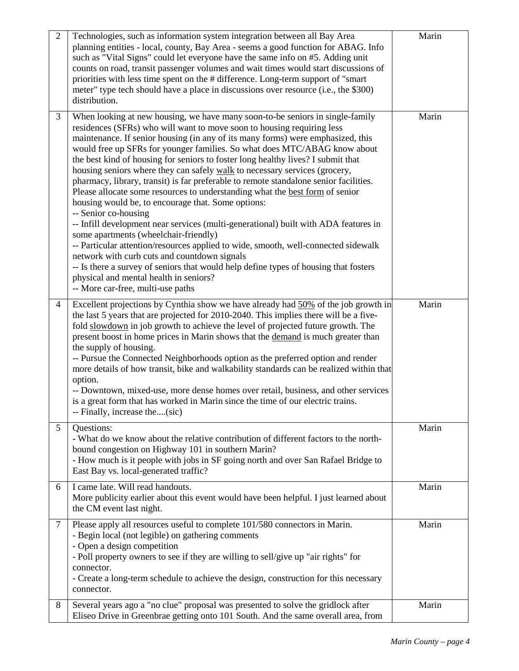| $\overline{2}$ | Technologies, such as information system integration between all Bay Area<br>planning entities - local, county, Bay Area - seems a good function for ABAG. Info<br>such as "Vital Signs" could let everyone have the same info on #5. Adding unit<br>counts on road, transit passenger volumes and wait times would start discussions of<br>priorities with less time spent on the # difference. Long-term support of "smart"<br>meter" type tech should have a place in discussions over resource (i.e., the \$300)<br>distribution.                                                                                                                                                                                                                                                                                                                                                                                                                                                                                                                                                                                                                                                         | Marin |
|----------------|-----------------------------------------------------------------------------------------------------------------------------------------------------------------------------------------------------------------------------------------------------------------------------------------------------------------------------------------------------------------------------------------------------------------------------------------------------------------------------------------------------------------------------------------------------------------------------------------------------------------------------------------------------------------------------------------------------------------------------------------------------------------------------------------------------------------------------------------------------------------------------------------------------------------------------------------------------------------------------------------------------------------------------------------------------------------------------------------------------------------------------------------------------------------------------------------------|-------|
| 3              | When looking at new housing, we have many soon-to-be seniors in single-family<br>residences (SFRs) who will want to move soon to housing requiring less<br>maintenance. If senior housing (in any of its many forms) were emphasized, this<br>would free up SFRs for younger families. So what does MTC/ABAG know about<br>the best kind of housing for seniors to foster long healthy lives? I submit that<br>housing seniors where they can safely walk to necessary services (grocery,<br>pharmacy, library, transit) is far preferable to remote standalone senior facilities.<br>Please allocate some resources to understanding what the best form of senior<br>housing would be, to encourage that. Some options:<br>-- Senior co-housing<br>-- Infill development near services (multi-generational) built with ADA features in<br>some apartments (wheelchair-friendly)<br>-- Particular attention/resources applied to wide, smooth, well-connected sidewalk<br>network with curb cuts and countdown signals<br>-- Is there a survey of seniors that would help define types of housing that fosters<br>physical and mental health in seniors?<br>-- More car-free, multi-use paths | Marin |
| $\overline{4}$ | Excellent projections by Cynthia show we have already had 50% of the job growth in<br>the last 5 years that are projected for 2010-2040. This implies there will be a five-<br>fold slowdown in job growth to achieve the level of projected future growth. The<br>present boost in home prices in Marin shows that the demand is much greater than<br>the supply of housing.<br>-- Pursue the Connected Neighborhoods option as the preferred option and render<br>more details of how transit, bike and walkability standards can be realized within that<br>option.<br>-- Downtown, mixed-use, more dense homes over retail, business, and other services<br>is a great form that has worked in Marin since the time of our electric trains.<br>-- Finally, increase the(sic)                                                                                                                                                                                                                                                                                                                                                                                                              | Marin |
| 5              | Questions:<br>- What do we know about the relative contribution of different factors to the north-<br>bound congestion on Highway 101 in southern Marin?<br>- How much is it people with jobs in SF going north and over San Rafael Bridge to<br>East Bay vs. local-generated traffic?                                                                                                                                                                                                                                                                                                                                                                                                                                                                                                                                                                                                                                                                                                                                                                                                                                                                                                        | Marin |
| 6              | I came late. Will read handouts.<br>More publicity earlier about this event would have been helpful. I just learned about<br>the CM event last night.                                                                                                                                                                                                                                                                                                                                                                                                                                                                                                                                                                                                                                                                                                                                                                                                                                                                                                                                                                                                                                         | Marin |
| 7              | Please apply all resources useful to complete 101/580 connectors in Marin.<br>- Begin local (not legible) on gathering comments<br>- Open a design competition<br>- Poll property owners to see if they are willing to sell/give up "air rights" for<br>connector.<br>- Create a long-term schedule to achieve the design, construction for this necessary<br>connector.                                                                                                                                                                                                                                                                                                                                                                                                                                                                                                                                                                                                                                                                                                                                                                                                                      | Marin |
| 8              | Several years ago a "no clue" proposal was presented to solve the gridlock after<br>Eliseo Drive in Greenbrae getting onto 101 South. And the same overall area, from                                                                                                                                                                                                                                                                                                                                                                                                                                                                                                                                                                                                                                                                                                                                                                                                                                                                                                                                                                                                                         | Marin |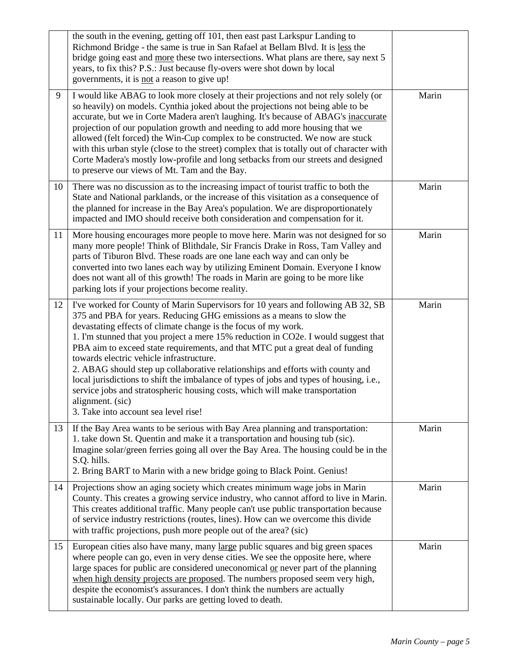|    | the south in the evening, getting off 101, then east past Larkspur Landing to<br>Richmond Bridge - the same is true in San Rafael at Bellam Blvd. It is less the<br>bridge going east and more these two intersections. What plans are there, say next 5<br>years, to fix this? P.S.: Just because fly-overs were shot down by local<br>governments, it is not a reason to give up!                                                                                                                                                                                                                                                                                                                                                                                     |       |
|----|-------------------------------------------------------------------------------------------------------------------------------------------------------------------------------------------------------------------------------------------------------------------------------------------------------------------------------------------------------------------------------------------------------------------------------------------------------------------------------------------------------------------------------------------------------------------------------------------------------------------------------------------------------------------------------------------------------------------------------------------------------------------------|-------|
| 9  | I would like ABAG to look more closely at their projections and not rely solely (or<br>so heavily) on models. Cynthia joked about the projections not being able to be<br>accurate, but we in Corte Madera aren't laughing. It's because of ABAG's inaccurate<br>projection of our population growth and needing to add more housing that we<br>allowed (felt forced) the Win-Cup complex to be constructed. We now are stuck<br>with this urban style (close to the street) complex that is totally out of character with<br>Corte Madera's mostly low-profile and long setbacks from our streets and designed<br>to preserve our views of Mt. Tam and the Bay.                                                                                                        | Marin |
| 10 | There was no discussion as to the increasing impact of tourist traffic to both the<br>State and National parklands, or the increase of this visitation as a consequence of<br>the planned for increase in the Bay Area's population. We are disproportionately<br>impacted and IMO should receive both consideration and compensation for it.                                                                                                                                                                                                                                                                                                                                                                                                                           | Marin |
| 11 | More housing encourages more people to move here. Marin was not designed for so<br>many more people! Think of Blithdale, Sir Francis Drake in Ross, Tam Valley and<br>parts of Tiburon Blvd. These roads are one lane each way and can only be<br>converted into two lanes each way by utilizing Eminent Domain. Everyone I know<br>does not want all of this growth! The roads in Marin are going to be more like<br>parking lots if your projections become reality.                                                                                                                                                                                                                                                                                                  | Marin |
| 12 | I've worked for County of Marin Supervisors for 10 years and following AB 32, SB<br>375 and PBA for years. Reducing GHG emissions as a means to slow the<br>devastating effects of climate change is the focus of my work.<br>1. I'm stunned that you project a mere 15% reduction in CO2e. I would suggest that<br>PBA aim to exceed state requirements, and that MTC put a great deal of funding<br>towards electric vehicle infrastructure.<br>2. ABAG should step up collaborative relationships and efforts with county and<br>local jurisdictions to shift the imbalance of types of jobs and types of housing, i.e.,<br>service jobs and stratospheric housing costs, which will make transportation<br>alignment. (sic)<br>3. Take into account sea level rise! | Marin |
| 13 | If the Bay Area wants to be serious with Bay Area planning and transportation:<br>1. take down St. Quentin and make it a transportation and housing tub (sic).<br>Imagine solar/green ferries going all over the Bay Area. The housing could be in the<br>S.Q. hills.<br>2. Bring BART to Marin with a new bridge going to Black Point. Genius!                                                                                                                                                                                                                                                                                                                                                                                                                         | Marin |
| 14 | Projections show an aging society which creates minimum wage jobs in Marin<br>County. This creates a growing service industry, who cannot afford to live in Marin.<br>This creates additional traffic. Many people can't use public transportation because<br>of service industry restrictions (routes, lines). How can we overcome this divide<br>with traffic projections, push more people out of the area? (sic)                                                                                                                                                                                                                                                                                                                                                    | Marin |
| 15 | European cities also have many, many large public squares and big green spaces<br>where people can go, even in very dense cities. We see the opposite here, where<br>large spaces for public are considered uneconomical or never part of the planning<br>when high density projects are proposed. The numbers proposed seem very high,<br>despite the economist's assurances. I don't think the numbers are actually<br>sustainable locally. Our parks are getting loved to death.                                                                                                                                                                                                                                                                                     | Marin |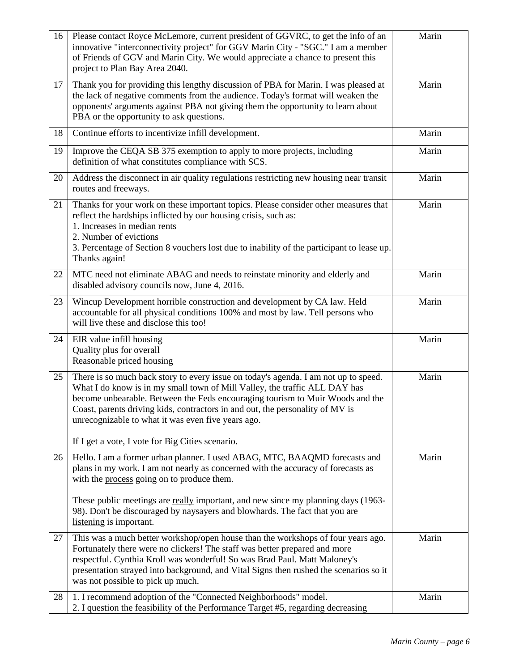| 16 | Please contact Royce McLemore, current president of GGVRC, to get the info of an<br>innovative "interconnectivity project" for GGV Marin City - "SGC." I am a member<br>of Friends of GGV and Marin City. We would appreciate a chance to present this<br>project to Plan Bay Area 2040.                                                                                                                                                      | Marin |
|----|-----------------------------------------------------------------------------------------------------------------------------------------------------------------------------------------------------------------------------------------------------------------------------------------------------------------------------------------------------------------------------------------------------------------------------------------------|-------|
| 17 | Thank you for providing this lengthy discussion of PBA for Marin. I was pleased at<br>the lack of negative comments from the audience. Today's format will weaken the<br>opponents' arguments against PBA not giving them the opportunity to learn about<br>PBA or the opportunity to ask questions.                                                                                                                                          | Marin |
| 18 | Continue efforts to incentivize infill development.                                                                                                                                                                                                                                                                                                                                                                                           | Marin |
| 19 | Improve the CEQA SB 375 exemption to apply to more projects, including<br>definition of what constitutes compliance with SCS.                                                                                                                                                                                                                                                                                                                 | Marin |
| 20 | Address the disconnect in air quality regulations restricting new housing near transit<br>routes and freeways.                                                                                                                                                                                                                                                                                                                                | Marin |
| 21 | Thanks for your work on these important topics. Please consider other measures that<br>reflect the hardships inflicted by our housing crisis, such as:<br>1. Increases in median rents<br>2. Number of evictions<br>3. Percentage of Section 8 vouchers lost due to inability of the participant to lease up.<br>Thanks again!                                                                                                                | Marin |
| 22 | MTC need not eliminate ABAG and needs to reinstate minority and elderly and<br>disabled advisory councils now, June 4, 2016.                                                                                                                                                                                                                                                                                                                  | Marin |
| 23 | Wincup Development horrible construction and development by CA law. Held<br>accountable for all physical conditions 100% and most by law. Tell persons who<br>will live these and disclose this too!                                                                                                                                                                                                                                          | Marin |
| 24 | EIR value infill housing<br>Quality plus for overall<br>Reasonable priced housing                                                                                                                                                                                                                                                                                                                                                             | Marin |
| 25 | There is so much back story to every issue on today's agenda. I am not up to speed.<br>What I do know is in my small town of Mill Valley, the traffic ALL DAY has<br>become unbearable. Between the Feds encouraging tourism to Muir Woods and the<br>Coast, parents driving kids, contractors in and out, the personality of MV is<br>unrecognizable to what it was even five years ago.<br>If I get a vote, I vote for Big Cities scenario. | Marin |
| 26 | Hello. I am a former urban planner. I used ABAG, MTC, BAAQMD forecasts and<br>plans in my work. I am not nearly as concerned with the accuracy of forecasts as<br>with the process going on to produce them.<br>These public meetings are really important, and new since my planning days (1963-<br>98). Don't be discouraged by naysayers and blowhards. The fact that you are<br>listening is important.                                   | Marin |
| 27 | This was a much better workshop/open house than the workshops of four years ago.<br>Fortunately there were no clickers! The staff was better prepared and more<br>respectful. Cynthia Kroll was wonderful! So was Brad Paul. Matt Maloney's<br>presentation strayed into background, and Vital Signs then rushed the scenarios so it<br>was not possible to pick up much.                                                                     | Marin |
| 28 | 1. I recommend adoption of the "Connected Neighborhoods" model.<br>2. I question the feasibility of the Performance Target #5, regarding decreasing                                                                                                                                                                                                                                                                                           | Marin |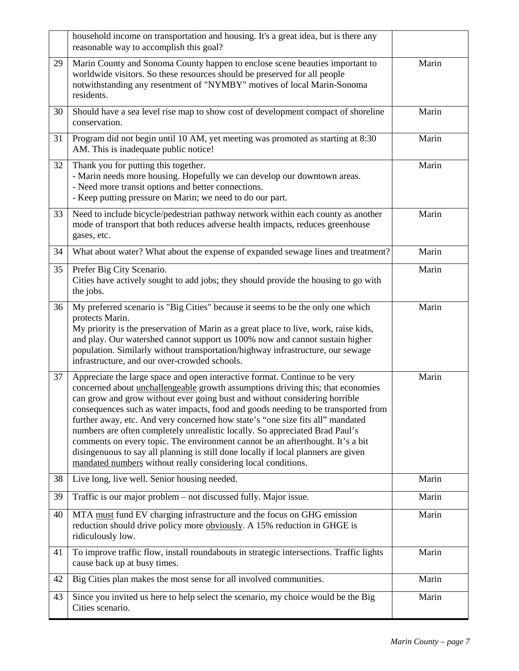|    | household income on transportation and housing. It's a great idea, but is there any<br>reasonable way to accomplish this goal?                                                                                                                                                                                                                                                                                                                                                                                                                                                                                                                                                                                                               |       |
|----|----------------------------------------------------------------------------------------------------------------------------------------------------------------------------------------------------------------------------------------------------------------------------------------------------------------------------------------------------------------------------------------------------------------------------------------------------------------------------------------------------------------------------------------------------------------------------------------------------------------------------------------------------------------------------------------------------------------------------------------------|-------|
| 29 | Marin County and Sonoma County happen to enclose scene beauties important to<br>worldwide visitors. So these resources should be preserved for all people<br>notwithstanding any resentment of "NYMBY" motives of local Marin-Sonoma<br>residents.                                                                                                                                                                                                                                                                                                                                                                                                                                                                                           | Marin |
| 30 | Should have a sea level rise map to show cost of development compact of shoreline<br>conservation.                                                                                                                                                                                                                                                                                                                                                                                                                                                                                                                                                                                                                                           | Marin |
| 31 | Program did not begin until 10 AM, yet meeting was promoted as starting at 8:30<br>AM. This is inadequate public notice!                                                                                                                                                                                                                                                                                                                                                                                                                                                                                                                                                                                                                     | Marin |
| 32 | Thank you for putting this together.<br>- Marin needs more housing. Hopefully we can develop our downtown areas.<br>- Need more transit options and better connections.<br>- Keep putting pressure on Marin; we need to do our part.                                                                                                                                                                                                                                                                                                                                                                                                                                                                                                         | Marin |
| 33 | Need to include bicycle/pedestrian pathway network within each county as another<br>mode of transport that both reduces adverse health impacts, reduces greenhouse<br>gases, etc.                                                                                                                                                                                                                                                                                                                                                                                                                                                                                                                                                            | Marin |
| 34 | What about water? What about the expense of expanded sewage lines and treatment?                                                                                                                                                                                                                                                                                                                                                                                                                                                                                                                                                                                                                                                             | Marin |
| 35 | Prefer Big City Scenario.<br>Cities have actively sought to add jobs; they should provide the housing to go with<br>the jobs.                                                                                                                                                                                                                                                                                                                                                                                                                                                                                                                                                                                                                | Marin |
| 36 | My preferred scenario is "Big Cities" because it seems to be the only one which<br>protects Marin.<br>My priority is the preservation of Marin as a great place to live, work, raise kids,<br>and play. Our watershed cannot support us 100% now and cannot sustain higher<br>population. Similarly without transportation/highway infrastructure, our sewage<br>infrastructure, and our over-crowded schools.                                                                                                                                                                                                                                                                                                                               | Marin |
| 37 | Appreciate the large space and open interactive format. Continue to be very<br>concerned about unchallengeable growth assumptions driving this; that economies<br>can grow and grow without ever going bust and without considering horrible<br>consequences such as water impacts, food and goods needing to be transported from<br>further away, etc. And very concerned how state's "one size fits all" mandated<br>numbers are often completely unrealistic locally. So appreciated Brad Paul's<br>comments on every topic. The environment cannot be an afterthought. It's a bit<br>disingenuous to say all planning is still done locally if local planners are given<br>mandated numbers without really considering local conditions. | Marin |
| 38 | Live long, live well. Senior housing needed.                                                                                                                                                                                                                                                                                                                                                                                                                                                                                                                                                                                                                                                                                                 | Marin |
| 39 | Traffic is our major problem – not discussed fully. Major issue.                                                                                                                                                                                                                                                                                                                                                                                                                                                                                                                                                                                                                                                                             | Marin |
| 40 | MTA must fund EV charging infrastructure and the focus on GHG emission<br>reduction should drive policy more obviously. A 15% reduction in GHGE is<br>ridiculously low.                                                                                                                                                                                                                                                                                                                                                                                                                                                                                                                                                                      | Marin |
| 41 | To improve traffic flow, install roundabouts in strategic intersections. Traffic lights<br>cause back up at busy times.                                                                                                                                                                                                                                                                                                                                                                                                                                                                                                                                                                                                                      | Marin |
| 42 | Big Cities plan makes the most sense for all involved communities.                                                                                                                                                                                                                                                                                                                                                                                                                                                                                                                                                                                                                                                                           | Marin |
| 43 | Since you invited us here to help select the scenario, my choice would be the Big<br>Cities scenario.                                                                                                                                                                                                                                                                                                                                                                                                                                                                                                                                                                                                                                        | Marin |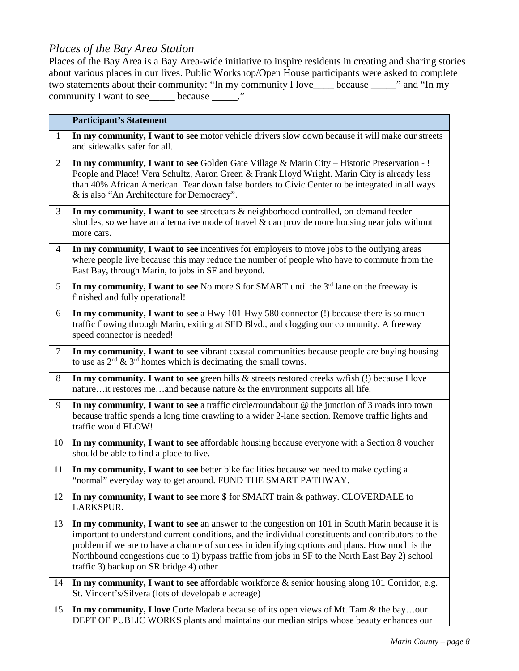#### *Places of the Bay Area Station*

Places of the Bay Area is a Bay Area-wide initiative to inspire residents in creating and sharing stories about various places in our lives. Public Workshop/Open House participants were asked to complete two statements about their community: "In my community I love\_\_\_\_ because \_\_\_\_\_" and "In my community I want to see\_\_\_\_\_\_ because \_\_\_\_\_."

|                | <b>Participant's Statement</b>                                                                                                                                                                                                                                                                                                                                                                                                                         |
|----------------|--------------------------------------------------------------------------------------------------------------------------------------------------------------------------------------------------------------------------------------------------------------------------------------------------------------------------------------------------------------------------------------------------------------------------------------------------------|
| $\mathbf{1}$   | In my community, I want to see motor vehicle drivers slow down because it will make our streets<br>and sidewalks safer for all.                                                                                                                                                                                                                                                                                                                        |
| $\overline{2}$ | In my community, I want to see Golden Gate Village & Marin City - Historic Preservation - !<br>People and Place! Vera Schultz, Aaron Green & Frank Lloyd Wright. Marin City is already less<br>than 40% African American. Tear down false borders to Civic Center to be integrated in all ways<br>& is also "An Architecture for Democracy".                                                                                                           |
| 3              | In my community, I want to see streetcars & neighborhood controlled, on-demand feeder<br>shuttles, so we have an alternative mode of travel $\&$ can provide more housing near jobs without<br>more cars.                                                                                                                                                                                                                                              |
| $\overline{4}$ | In my community, I want to see incentives for employers to move jobs to the outlying areas<br>where people live because this may reduce the number of people who have to commute from the<br>East Bay, through Marin, to jobs in SF and beyond.                                                                                                                                                                                                        |
| 5              | In my community, I want to see No more $$$ for SMART until the $3rd$ lane on the freeway is<br>finished and fully operational!                                                                                                                                                                                                                                                                                                                         |
| 6              | In my community, I want to see a Hwy 101-Hwy 580 connector (!) because there is so much<br>traffic flowing through Marin, exiting at SFD Blvd., and clogging our community. A freeway<br>speed connector is needed!                                                                                                                                                                                                                                    |
| $\tau$         | In my community, I want to see vibrant coastal communities because people are buying housing<br>to use as $2nd \& 3rd$ homes which is decimating the small towns.                                                                                                                                                                                                                                                                                      |
| 8              | In my community, I want to see green hills & streets restored creeks w/fish (!) because I love<br>natureit restores meand because nature $\&$ the environment supports all life.                                                                                                                                                                                                                                                                       |
| 9              | In my community, I want to see a traffic circle/roundabout $@$ the junction of 3 roads into town<br>because traffic spends a long time crawling to a wider 2-lane section. Remove traffic lights and<br>traffic would FLOW!                                                                                                                                                                                                                            |
| 10             | In my community, I want to see affordable housing because everyone with a Section 8 voucher<br>should be able to find a place to live.                                                                                                                                                                                                                                                                                                                 |
| 11             | In my community, I want to see better bike facilities because we need to make cycling a<br>"normal" everyday way to get around. FUND THE SMART PATHWAY.                                                                                                                                                                                                                                                                                                |
| 12             | In my community, I want to see more \$ for SMART train & pathway. CLOVERDALE to<br>LARKSPUR.                                                                                                                                                                                                                                                                                                                                                           |
| 13             | In my community, I want to see an answer to the congestion on 101 in South Marin because it is<br>important to understand current conditions, and the individual constituents and contributors to the<br>problem if we are to have a chance of success in identifying options and plans. How much is the<br>Northbound congestions due to 1) bypass traffic from jobs in SF to the North East Bay 2) school<br>traffic 3) backup on SR bridge 4) other |
| 14             | In my community, I want to see affordable workforce $\&$ senior housing along 101 Corridor, e.g.<br>St. Vincent's/Silvera (lots of developable acreage)                                                                                                                                                                                                                                                                                                |
| 15             | In my community, I love Corte Madera because of its open views of Mt. Tam & the bayour<br>DEPT OF PUBLIC WORKS plants and maintains our median strips whose beauty enhances our                                                                                                                                                                                                                                                                        |